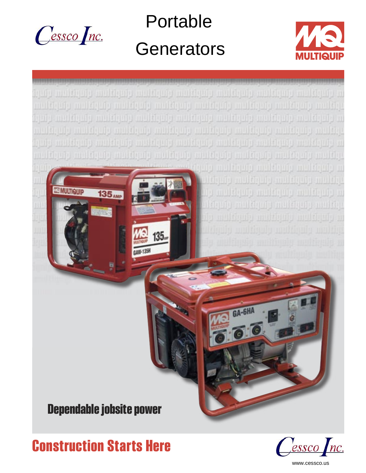

Portable **Generators** 





**Construction Starts Here**

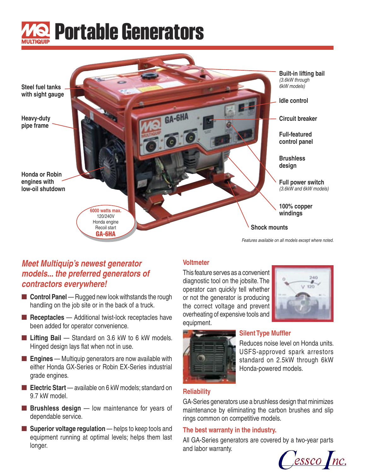



### **Meet Multiquip's newest generator models... the preferred generators of contractors everywhere!**

- **Control Panel** Rugged new look withstands the rough handling on the job site or in the back of a truck.
- **Receptacles** Additional twist-lock receptacles have been added for operator convenience.
- **Lifting Bail** Standard on 3.6 kW to 6 kW models. Hinged design lays flat when not in use.
- **Engines** Multiquip generators are now available with either Honda GX-Series or Robin EX-Series industrial grade engines.
- **Electric Start** available on 6 kW models; standard on 9.7 kW model.
- **Brushless design** low maintenance for years of dependable service.
- **Superior voltage regulation** helps to keep tools and equipment running at optimal levels; helps them last longer.

### **Voltmeter**

This feature serves as a convenient diagnostic tool on the jobsite. The operator can quickly tell whether or not the generator is producing the correct voltage and prevent overheating of expensive tools and equipment.





### **Silent Type Muffler**

Reduces noise level on Honda units. USFS-approved spark arrestors standard on 2.5kW through 6kW Honda-powered models.

### **Reliability**

GA-Series generators use a brushless design that minimizes maintenance by eliminating the carbon brushes and slip rings common on competitive models.

### **The best warranty in the industry.**

All GA-Series generators are covered by a two-year parts and labor warranty.

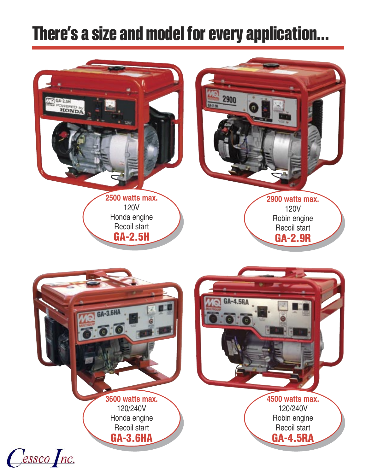## **There's a size and model for every application...**

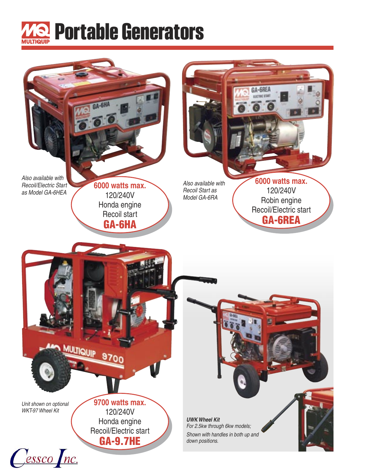

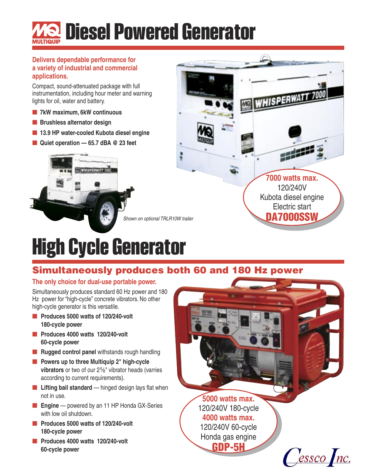# **Diesel Powered Generator**

#### **Delivers dependable performance for a variety of industrial and commercial applications.**

Compact, sound-attenuated package with full instrumentation, including hour meter and warning lights for oil, water and battery.

- **7kW maximum, 6kW continuous**
- **Brushless alternator design**
- **13.9 HP water-cooled Kubota diesel engine**
- Quiet operation 65.7 dBA <sup>@</sup> 23 feet





# **High Cycle Generator**

### Simultaneously produces both 60 and 180 Hz power

### **The only choice for dual-use portable power.**

Simultaneously produces standard 60 Hz power and 180 Hz power for "high-cycle" concrete vibrators. No other high-cycle generator is this versatile.

- **Produces 5000 watts of 120/240-volt 180-cycle power**
- **Produces 4000 watts 120/240-volt 60-cycle power**
- **Rugged control panel** withstands rough handling
- **Powers up to three Multiquip 2" high-cycle vibrators** or two of our 2<sup>5</sup>/<sub>8</sub>" vibrator heads (varries according to current requirements).
- Lifting bail standard hinged design lays flat when not in use.
- **Engine** powered by an 11 HP Honda GX-Series with low oil shutdown.
- **Produces 5000 watts of 120/240-volt 180-cycle power**
- **Produces 4000 watts 120/240-volt 60-cycle power**

**5000 watts max.** 120/240V 180-cycle **4000 watts max.** 120/240V 60-cycle Honda gas engine GDP-5H  $\int$ essco $\int$ nc.